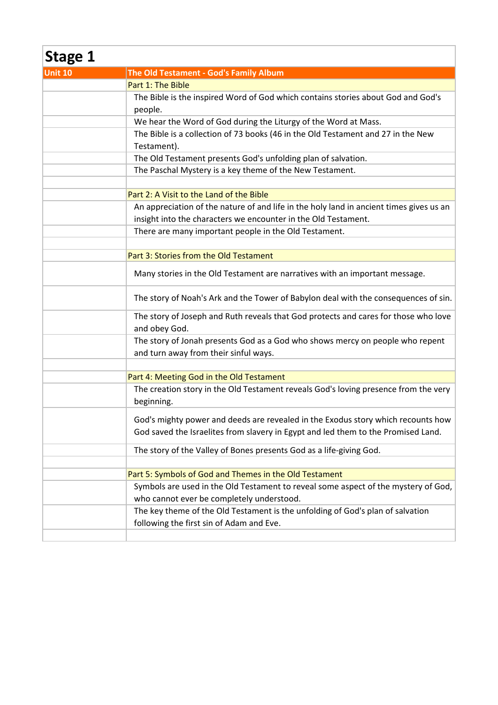| <b>Stage 1</b> |                                                                                                      |
|----------------|------------------------------------------------------------------------------------------------------|
| Unit 10        | The Old Testament - God's Family Album                                                               |
|                | Part 1: The Bible                                                                                    |
|                | The Bible is the inspired Word of God which contains stories about God and God's                     |
|                | people.                                                                                              |
|                | We hear the Word of God during the Liturgy of the Word at Mass.                                      |
|                | The Bible is a collection of 73 books (46 in the Old Testament and 27 in the New                     |
|                | Testament).                                                                                          |
|                | The Old Testament presents God's unfolding plan of salvation.                                        |
|                | The Paschal Mystery is a key theme of the New Testament.                                             |
|                |                                                                                                      |
|                | Part 2: A Visit to the Land of the Bible                                                             |
|                | An appreciation of the nature of and life in the holy land in ancient times gives us an              |
|                | insight into the characters we encounter in the Old Testament.                                       |
|                | There are many important people in the Old Testament.                                                |
|                |                                                                                                      |
|                | Part 3: Stories from the Old Testament                                                               |
|                | Many stories in the Old Testament are narratives with an important message.                          |
|                | The story of Noah's Ark and the Tower of Babylon deal with the consequences of sin.                  |
|                | The story of Joseph and Ruth reveals that God protects and cares for those who love<br>and obey God. |
|                | The story of Jonah presents God as a God who shows mercy on people who repent                        |
|                | and turn away from their sinful ways.                                                                |
|                |                                                                                                      |
|                | Part 4: Meeting God in the Old Testament                                                             |
|                | The creation story in the Old Testament reveals God's loving presence from the very<br>beginning.    |
|                | God's mighty power and deeds are revealed in the Exodus story which recounts how                     |
|                | God saved the Israelites from slavery in Egypt and led them to the Promised Land.                    |
|                | The story of the Valley of Bones presents God as a life-giving God.                                  |
|                |                                                                                                      |
|                | Part 5: Symbols of God and Themes in the Old Testament                                               |
|                | Symbols are used in the Old Testament to reveal some aspect of the mystery of God,                   |
|                | who cannot ever be completely understood.                                                            |
|                | The key theme of the Old Testament is the unfolding of God's plan of salvation                       |
|                | following the first sin of Adam and Eve.                                                             |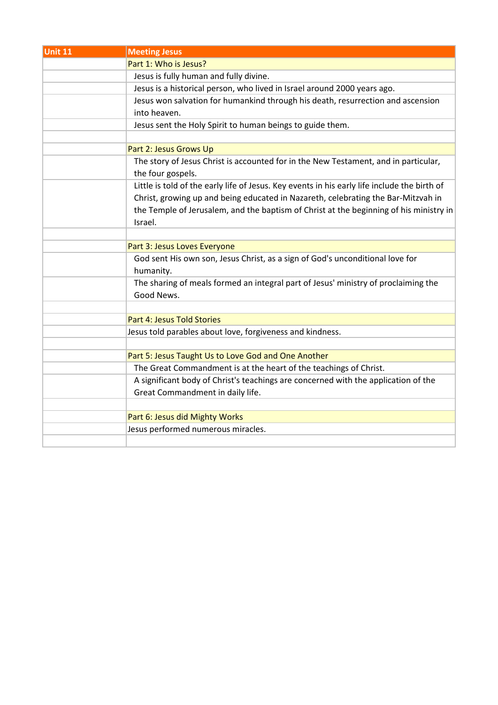| Unit 11 | <b>Meeting Jesus</b>                                                                         |
|---------|----------------------------------------------------------------------------------------------|
|         | Part 1: Who is Jesus?                                                                        |
|         | Jesus is fully human and fully divine.                                                       |
|         | Jesus is a historical person, who lived in Israel around 2000 years ago.                     |
|         | Jesus won salvation for humankind through his death, resurrection and ascension              |
|         | into heaven.                                                                                 |
|         | Jesus sent the Holy Spirit to human beings to guide them.                                    |
|         |                                                                                              |
|         | Part 2: Jesus Grows Up                                                                       |
|         | The story of Jesus Christ is accounted for in the New Testament, and in particular,          |
|         | the four gospels.                                                                            |
|         | Little is told of the early life of Jesus. Key events in his early life include the birth of |
|         | Christ, growing up and being educated in Nazareth, celebrating the Bar-Mitzvah in            |
|         | the Temple of Jerusalem, and the baptism of Christ at the beginning of his ministry in       |
|         | Israel.                                                                                      |
|         |                                                                                              |
|         | Part 3: Jesus Loves Everyone                                                                 |
|         | God sent His own son, Jesus Christ, as a sign of God's unconditional love for                |
|         | humanity.                                                                                    |
|         | The sharing of meals formed an integral part of Jesus' ministry of proclaiming the           |
|         | Good News.                                                                                   |
|         |                                                                                              |
|         | Part 4: Jesus Told Stories                                                                   |
|         | Jesus told parables about love, forgiveness and kindness.                                    |
|         |                                                                                              |
|         | Part 5: Jesus Taught Us to Love God and One Another                                          |
|         | The Great Commandment is at the heart of the teachings of Christ.                            |
|         | A significant body of Christ's teachings are concerned with the application of the           |
|         | Great Commandment in daily life.                                                             |
|         |                                                                                              |
|         | Part 6: Jesus did Mighty Works                                                               |
|         | Jesus performed numerous miracles.                                                           |
|         |                                                                                              |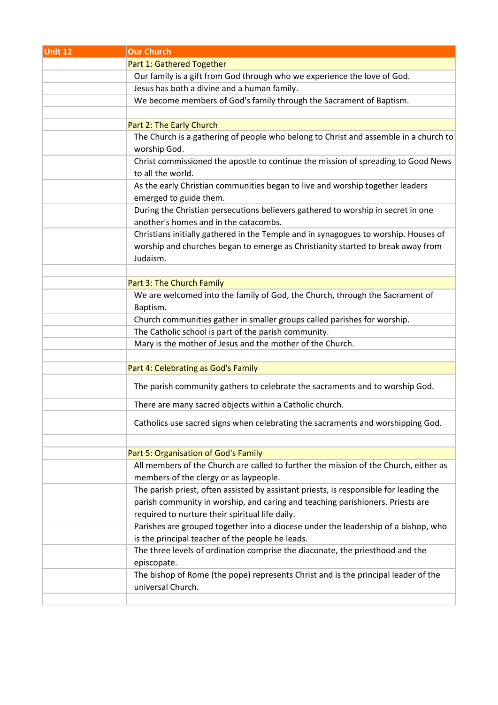| <b>Unit 12</b> | <b>Our Church</b>                                                                      |
|----------------|----------------------------------------------------------------------------------------|
|                | Part 1: Gathered Together                                                              |
|                | Our family is a gift from God through who we experience the love of God.               |
|                | Jesus has both a divine and a human family.                                            |
|                | We become members of God's family through the Sacrament of Baptism.                    |
|                |                                                                                        |
|                | Part 2: The Early Church                                                               |
|                | The Church is a gathering of people who belong to Christ and assemble in a church to   |
|                | worship God.                                                                           |
|                | Christ commissioned the apostle to continue the mission of spreading to Good News      |
|                | to all the world.                                                                      |
|                | As the early Christian communities began to live and worship together leaders          |
|                | emerged to guide them.                                                                 |
|                | During the Christian persecutions believers gathered to worship in secret in one       |
|                | another's homes and in the catacombs.                                                  |
|                | Christians initially gathered in the Temple and in synagogues to worship. Houses of    |
|                | worship and churches began to emerge as Christianity started to break away from        |
|                | Judaism.                                                                               |
|                |                                                                                        |
|                | Part 3: The Church Family                                                              |
|                | We are welcomed into the family of God, the Church, through the Sacrament of           |
|                | Baptism.                                                                               |
|                | Church communities gather in smaller groups called parishes for worship.               |
|                | The Catholic school is part of the parish community.                                   |
|                | Mary is the mother of Jesus and the mother of the Church.                              |
|                |                                                                                        |
|                | Part 4: Celebrating as God's Family                                                    |
|                | The parish community gathers to celebrate the sacraments and to worship God.           |
|                | There are many sacred objects within a Catholic church.                                |
|                | Catholics use sacred signs when celebrating the sacraments and worshipping God.        |
|                | Part 5: Organisation of God's Family                                                   |
|                | All members of the Church are called to further the mission of the Church, either as   |
|                | members of the clergy or as laypeople.                                                 |
|                | The parish priest, often assisted by assistant priests, is responsible for leading the |
|                | parish community in worship, and caring and teaching parishioners. Priests are         |
|                | required to nurture their spiritual life daily.                                        |
|                | Parishes are grouped together into a diocese under the leadership of a bishop, who     |
|                | is the principal teacher of the people he leads.                                       |
|                | The three levels of ordination comprise the diaconate, the priesthood and the          |
|                | episcopate.                                                                            |
|                | The bishop of Rome (the pope) represents Christ and is the principal leader of the     |
|                | universal Church.                                                                      |
|                |                                                                                        |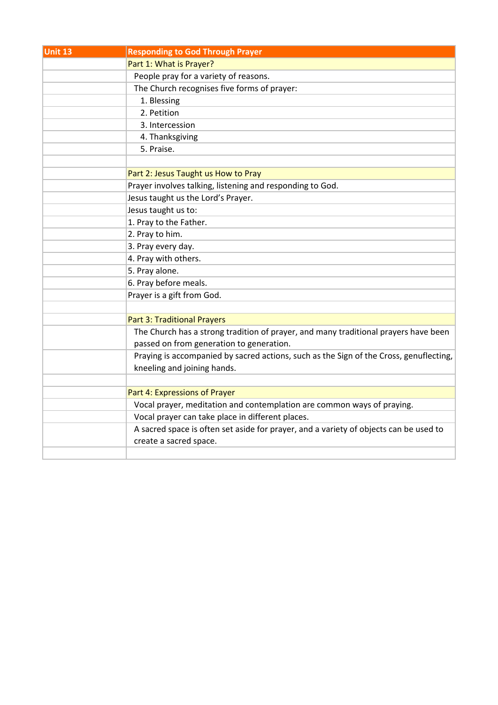| <b>Unit 13</b> | <b>Responding to God Through Prayer</b>                                                |
|----------------|----------------------------------------------------------------------------------------|
|                | Part 1: What is Prayer?                                                                |
|                | People pray for a variety of reasons.                                                  |
|                | The Church recognises five forms of prayer:                                            |
|                | 1. Blessing                                                                            |
|                | 2. Petition                                                                            |
|                | 3. Intercession                                                                        |
|                | 4. Thanksgiving                                                                        |
|                | 5. Praise.                                                                             |
|                |                                                                                        |
|                | Part 2: Jesus Taught us How to Pray                                                    |
|                | Prayer involves talking, listening and responding to God.                              |
|                | Jesus taught us the Lord's Prayer.                                                     |
|                | Jesus taught us to:                                                                    |
|                | 1. Pray to the Father.                                                                 |
|                | 2. Pray to him.                                                                        |
|                | 3. Pray every day.                                                                     |
|                | 4. Pray with others.                                                                   |
|                | 5. Pray alone.                                                                         |
|                | 6. Pray before meals.                                                                  |
|                | Prayer is a gift from God.                                                             |
|                |                                                                                        |
|                | <b>Part 3: Traditional Prayers</b>                                                     |
|                | The Church has a strong tradition of prayer, and many traditional prayers have been    |
|                | passed on from generation to generation.                                               |
|                | Praying is accompanied by sacred actions, such as the Sign of the Cross, genuflecting, |
|                | kneeling and joining hands.                                                            |
|                |                                                                                        |
|                | Part 4: Expressions of Prayer                                                          |
|                | Vocal prayer, meditation and contemplation are common ways of praying.                 |
|                | Vocal prayer can take place in different places.                                       |
|                | A sacred space is often set aside for prayer, and a variety of objects can be used to  |
|                | create a sacred space.                                                                 |
|                |                                                                                        |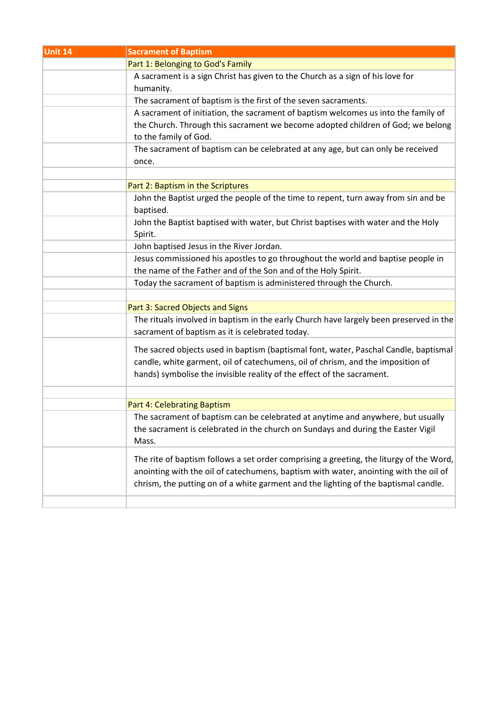| Unit 14 | <b>Sacrament of Baptism</b>                                                                                                                                                                                                                                            |
|---------|------------------------------------------------------------------------------------------------------------------------------------------------------------------------------------------------------------------------------------------------------------------------|
|         | Part 1: Belonging to God's Family                                                                                                                                                                                                                                      |
|         | A sacrament is a sign Christ has given to the Church as a sign of his love for<br>humanity.                                                                                                                                                                            |
|         | The sacrament of baptism is the first of the seven sacraments.                                                                                                                                                                                                         |
|         | A sacrament of initiation, the sacrament of baptism welcomes us into the family of                                                                                                                                                                                     |
|         | the Church. Through this sacrament we become adopted children of God; we belong<br>to the family of God.                                                                                                                                                               |
|         | The sacrament of baptism can be celebrated at any age, but can only be received<br>once.                                                                                                                                                                               |
|         |                                                                                                                                                                                                                                                                        |
|         | Part 2: Baptism in the Scriptures                                                                                                                                                                                                                                      |
|         | John the Baptist urged the people of the time to repent, turn away from sin and be<br>baptised.                                                                                                                                                                        |
|         | John the Baptist baptised with water, but Christ baptises with water and the Holy<br>Spirit.                                                                                                                                                                           |
|         | John baptised Jesus in the River Jordan.                                                                                                                                                                                                                               |
|         | Jesus commissioned his apostles to go throughout the world and baptise people in                                                                                                                                                                                       |
|         | the name of the Father and of the Son and of the Holy Spirit.                                                                                                                                                                                                          |
|         | Today the sacrament of baptism is administered through the Church.                                                                                                                                                                                                     |
|         |                                                                                                                                                                                                                                                                        |
|         | Part 3: Sacred Objects and Signs                                                                                                                                                                                                                                       |
|         | The rituals involved in baptism in the early Church have largely been preserved in the<br>sacrament of baptism as it is celebrated today.                                                                                                                              |
|         | The sacred objects used in baptism (baptismal font, water, Paschal Candle, baptismal<br>candle, white garment, oil of catechumens, oil of chrism, and the imposition of<br>hands) symbolise the invisible reality of the effect of the sacrament.                      |
|         |                                                                                                                                                                                                                                                                        |
|         | Part 4: Celebrating Baptism                                                                                                                                                                                                                                            |
|         | The sacrament of baptism can be celebrated at anytime and anywhere, but usually<br>the sacrament is celebrated in the church on Sundays and during the Easter Vigil<br>Mass.                                                                                           |
|         | The rite of baptism follows a set order comprising a greeting, the liturgy of the Word,<br>anointing with the oil of catechumens, baptism with water, anointing with the oil of<br>chrism, the putting on of a white garment and the lighting of the baptismal candle. |
|         |                                                                                                                                                                                                                                                                        |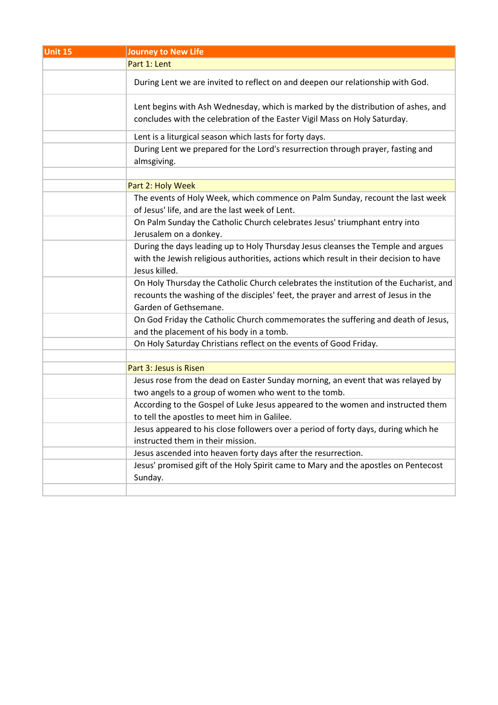| Unit 15 | <b>Journey to New Life</b>                                                                                                                                                                           |
|---------|------------------------------------------------------------------------------------------------------------------------------------------------------------------------------------------------------|
|         | Part 1: Lent                                                                                                                                                                                         |
|         | During Lent we are invited to reflect on and deepen our relationship with God.                                                                                                                       |
|         | Lent begins with Ash Wednesday, which is marked by the distribution of ashes, and<br>concludes with the celebration of the Easter Vigil Mass on Holy Saturday.                                       |
|         | Lent is a liturgical season which lasts for forty days.                                                                                                                                              |
|         | During Lent we prepared for the Lord's resurrection through prayer, fasting and<br>almsgiving.                                                                                                       |
|         | Part 2: Holy Week                                                                                                                                                                                    |
|         | The events of Holy Week, which commence on Palm Sunday, recount the last week<br>of Jesus' life, and are the last week of Lent.                                                                      |
|         | On Palm Sunday the Catholic Church celebrates Jesus' triumphant entry into<br>Jerusalem on a donkey.                                                                                                 |
|         | During the days leading up to Holy Thursday Jesus cleanses the Temple and argues<br>with the Jewish religious authorities, actions which result in their decision to have<br>Jesus killed.           |
|         | On Holy Thursday the Catholic Church celebrates the institution of the Eucharist, and<br>recounts the washing of the disciples' feet, the prayer and arrest of Jesus in the<br>Garden of Gethsemane. |
|         | On God Friday the Catholic Church commemorates the suffering and death of Jesus,<br>and the placement of his body in a tomb.                                                                         |
|         | On Holy Saturday Christians reflect on the events of Good Friday.                                                                                                                                    |
|         |                                                                                                                                                                                                      |
|         | Part 3: Jesus is Risen                                                                                                                                                                               |
|         | Jesus rose from the dead on Easter Sunday morning, an event that was relayed by<br>two angels to a group of women who went to the tomb.                                                              |
|         | According to the Gospel of Luke Jesus appeared to the women and instructed them                                                                                                                      |
|         | to tell the apostles to meet him in Galilee.                                                                                                                                                         |
|         | Jesus appeared to his close followers over a period of forty days, during which he<br>instructed them in their mission.                                                                              |
|         | Jesus ascended into heaven forty days after the resurrection.                                                                                                                                        |
|         | Jesus' promised gift of the Holy Spirit came to Mary and the apostles on Pentecost<br>Sunday.                                                                                                        |
|         |                                                                                                                                                                                                      |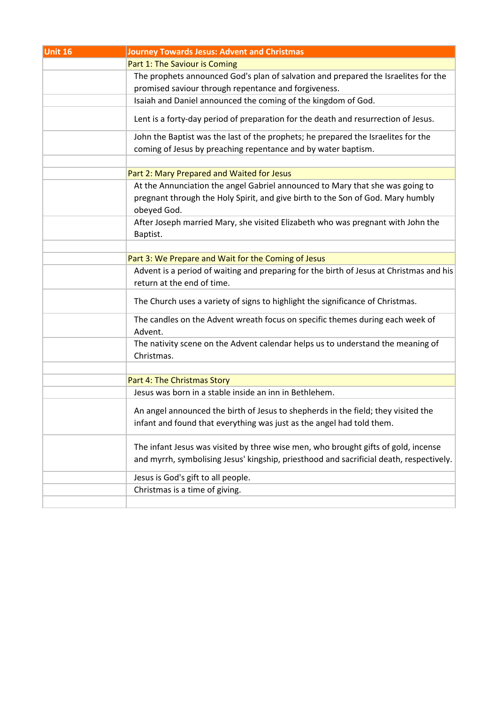| Unit 16 | <b>Journey Towards Jesus: Advent and Christmas</b>                                                                                                                            |
|---------|-------------------------------------------------------------------------------------------------------------------------------------------------------------------------------|
|         | Part 1: The Saviour is Coming                                                                                                                                                 |
|         | The prophets announced God's plan of salvation and prepared the Israelites for the                                                                                            |
|         | promised saviour through repentance and forgiveness.                                                                                                                          |
|         | Isaiah and Daniel announced the coming of the kingdom of God.                                                                                                                 |
|         | Lent is a forty-day period of preparation for the death and resurrection of Jesus.                                                                                            |
|         | John the Baptist was the last of the prophets; he prepared the Israelites for the                                                                                             |
|         | coming of Jesus by preaching repentance and by water baptism.                                                                                                                 |
|         |                                                                                                                                                                               |
|         | Part 2: Mary Prepared and Waited for Jesus                                                                                                                                    |
|         | At the Annunciation the angel Gabriel announced to Mary that she was going to                                                                                                 |
|         | pregnant through the Holy Spirit, and give birth to the Son of God. Mary humbly<br>obeyed God.                                                                                |
|         | After Joseph married Mary, she visited Elizabeth who was pregnant with John the<br>Baptist.                                                                                   |
|         |                                                                                                                                                                               |
|         | Part 3: We Prepare and Wait for the Coming of Jesus                                                                                                                           |
|         | Advent is a period of waiting and preparing for the birth of Jesus at Christmas and his<br>return at the end of time.                                                         |
|         | The Church uses a variety of signs to highlight the significance of Christmas.                                                                                                |
|         | The candles on the Advent wreath focus on specific themes during each week of<br>Advent.                                                                                      |
|         | The nativity scene on the Advent calendar helps us to understand the meaning of<br>Christmas.                                                                                 |
|         | Part 4: The Christmas Story                                                                                                                                                   |
|         | Jesus was born in a stable inside an inn in Bethlehem.                                                                                                                        |
|         | An angel announced the birth of Jesus to shepherds in the field; they visited the<br>infant and found that everything was just as the angel had told them.                    |
|         | The infant Jesus was visited by three wise men, who brought gifts of gold, incense<br>and myrrh, symbolising Jesus' kingship, priesthood and sacrificial death, respectively. |
|         | Jesus is God's gift to all people.                                                                                                                                            |
|         | Christmas is a time of giving.                                                                                                                                                |
|         |                                                                                                                                                                               |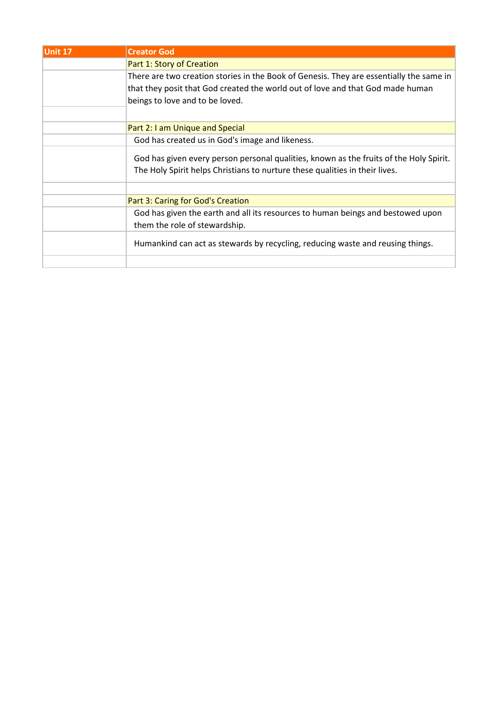| <b>Unit 17</b> | <b>Creator God</b>                                                                      |
|----------------|-----------------------------------------------------------------------------------------|
|                | Part 1: Story of Creation                                                               |
|                | There are two creation stories in the Book of Genesis. They are essentially the same in |
|                | that they posit that God created the world out of love and that God made human          |
|                | beings to love and to be loved.                                                         |
|                |                                                                                         |
|                | Part 2: I am Unique and Special                                                         |
|                | God has created us in God's image and likeness.                                         |
|                | God has given every person personal qualities, known as the fruits of the Holy Spirit.  |
|                | The Holy Spirit helps Christians to nurture these qualities in their lives.             |
|                |                                                                                         |
|                | Part 3: Caring for God's Creation                                                       |
|                | God has given the earth and all its resources to human beings and bestowed upon         |
|                | them the role of stewardship.                                                           |
|                | Humankind can act as stewards by recycling, reducing waste and reusing things.          |
|                |                                                                                         |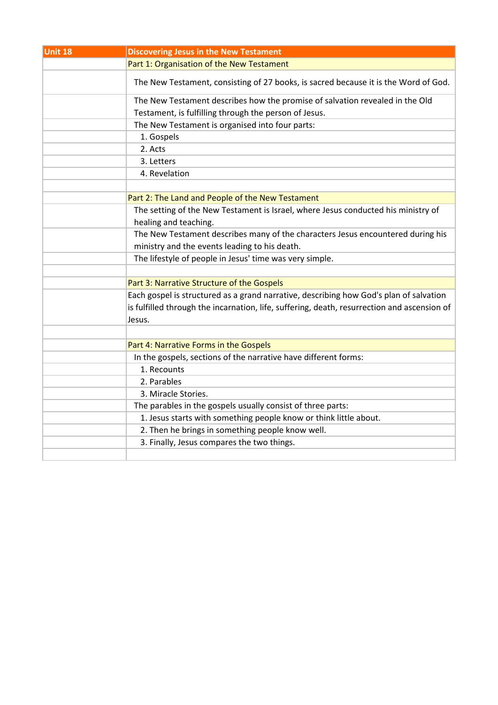| Unit 18 | <b>Discovering Jesus in the New Testament</b>                                               |
|---------|---------------------------------------------------------------------------------------------|
|         | Part 1: Organisation of the New Testament                                                   |
|         | The New Testament, consisting of 27 books, is sacred because it is the Word of God.         |
|         | The New Testament describes how the promise of salvation revealed in the Old                |
|         | Testament, is fulfilling through the person of Jesus.                                       |
|         | The New Testament is organised into four parts:                                             |
|         | 1. Gospels                                                                                  |
|         | 2. Acts                                                                                     |
|         | 3. Letters                                                                                  |
|         | 4. Revelation                                                                               |
|         |                                                                                             |
|         | Part 2: The Land and People of the New Testament                                            |
|         | The setting of the New Testament is Israel, where Jesus conducted his ministry of           |
|         | healing and teaching.                                                                       |
|         | The New Testament describes many of the characters Jesus encountered during his             |
|         | ministry and the events leading to his death.                                               |
|         | The lifestyle of people in Jesus' time was very simple.                                     |
|         |                                                                                             |
|         | Part 3: Narrative Structure of the Gospels                                                  |
|         | Each gospel is structured as a grand narrative, describing how God's plan of salvation      |
|         | is fulfilled through the incarnation, life, suffering, death, resurrection and ascension of |
|         | Jesus.                                                                                      |
|         |                                                                                             |
|         | Part 4: Narrative Forms in the Gospels                                                      |
|         | In the gospels, sections of the narrative have different forms:                             |
|         | 1. Recounts                                                                                 |
|         | 2. Parables                                                                                 |
|         | 3. Miracle Stories.                                                                         |
|         | The parables in the gospels usually consist of three parts:                                 |
|         | 1. Jesus starts with something people know or think little about.                           |
|         | 2. Then he brings in something people know well.                                            |
|         | 3. Finally, Jesus compares the two things.                                                  |
|         |                                                                                             |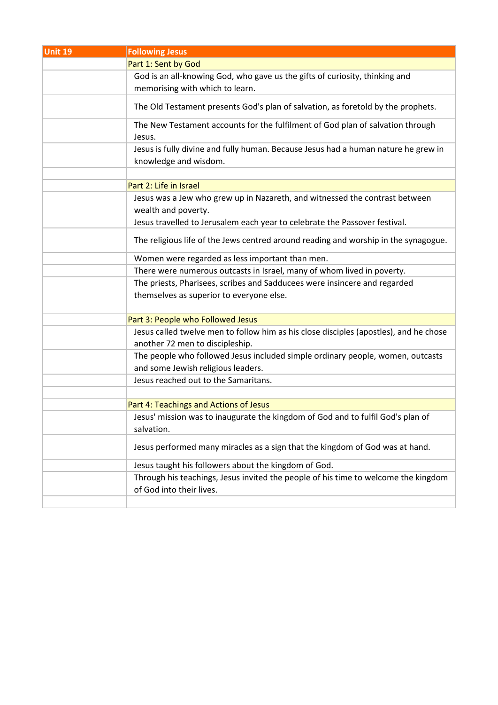| Unit 19 | <b>Following Jesus</b>                                                                             |
|---------|----------------------------------------------------------------------------------------------------|
|         | Part 1: Sent by God                                                                                |
|         | God is an all-knowing God, who gave us the gifts of curiosity, thinking and                        |
|         | memorising with which to learn.                                                                    |
|         | The Old Testament presents God's plan of salvation, as foretold by the prophets.                   |
|         | The New Testament accounts for the fulfilment of God plan of salvation through<br>Jesus.           |
|         | Jesus is fully divine and fully human. Because Jesus had a human nature he grew in                 |
|         | knowledge and wisdom.                                                                              |
|         |                                                                                                    |
|         | Part 2: Life in Israel                                                                             |
|         | Jesus was a Jew who grew up in Nazareth, and witnessed the contrast between<br>wealth and poverty. |
|         | Jesus travelled to Jerusalem each year to celebrate the Passover festival.                         |
|         | The religious life of the Jews centred around reading and worship in the synagogue.                |
|         | Women were regarded as less important than men.                                                    |
|         | There were numerous outcasts in Israel, many of whom lived in poverty.                             |
|         | The priests, Pharisees, scribes and Sadducees were insincere and regarded                          |
|         | themselves as superior to everyone else.                                                           |
|         |                                                                                                    |
|         | Part 3: People who Followed Jesus                                                                  |
|         | Jesus called twelve men to follow him as his close disciples (apostles), and he chose              |
|         | another 72 men to discipleship.                                                                    |
|         | The people who followed Jesus included simple ordinary people, women, outcasts                     |
|         | and some Jewish religious leaders.                                                                 |
|         | Jesus reached out to the Samaritans.                                                               |
|         |                                                                                                    |
|         | Part 4: Teachings and Actions of Jesus                                                             |
|         | Jesus' mission was to inaugurate the kingdom of God and to fulfil God's plan of                    |
|         | salvation.                                                                                         |
|         | Jesus performed many miracles as a sign that the kingdom of God was at hand.                       |
|         | Jesus taught his followers about the kingdom of God.                                               |
|         | Through his teachings, Jesus invited the people of his time to welcome the kingdom                 |
|         | of God into their lives.                                                                           |
|         |                                                                                                    |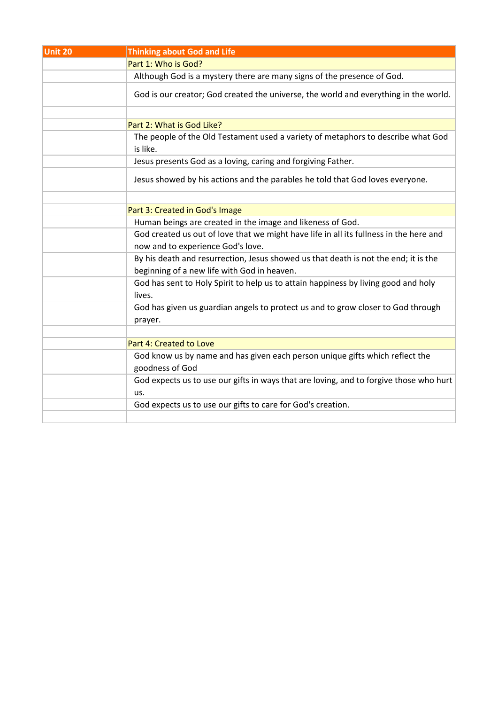| Unit 20 | <b>Thinking about God and Life</b>                                                                                                 |
|---------|------------------------------------------------------------------------------------------------------------------------------------|
|         | Part 1: Who is God?                                                                                                                |
|         | Although God is a mystery there are many signs of the presence of God.                                                             |
|         | God is our creator; God created the universe, the world and everything in the world.                                               |
|         |                                                                                                                                    |
|         | Part 2: What is God Like?                                                                                                          |
|         | The people of the Old Testament used a variety of metaphors to describe what God<br>is like.                                       |
|         | Jesus presents God as a loving, caring and forgiving Father.                                                                       |
|         | Jesus showed by his actions and the parables he told that God loves everyone.                                                      |
|         |                                                                                                                                    |
|         | Part 3: Created in God's Image                                                                                                     |
|         | Human beings are created in the image and likeness of God.                                                                         |
|         | God created us out of love that we might have life in all its fullness in the here and<br>now and to experience God's love.        |
|         | By his death and resurrection, Jesus showed us that death is not the end; it is the<br>beginning of a new life with God in heaven. |
|         | God has sent to Holy Spirit to help us to attain happiness by living good and holy<br>lives.                                       |
|         | God has given us guardian angels to protect us and to grow closer to God through<br>prayer.                                        |
|         |                                                                                                                                    |
|         | Part 4: Created to Love                                                                                                            |
|         | God know us by name and has given each person unique gifts which reflect the                                                       |
|         | goodness of God                                                                                                                    |
|         | God expects us to use our gifts in ways that are loving, and to forgive those who hurt                                             |
|         | us.                                                                                                                                |
|         | God expects us to use our gifts to care for God's creation.                                                                        |
|         |                                                                                                                                    |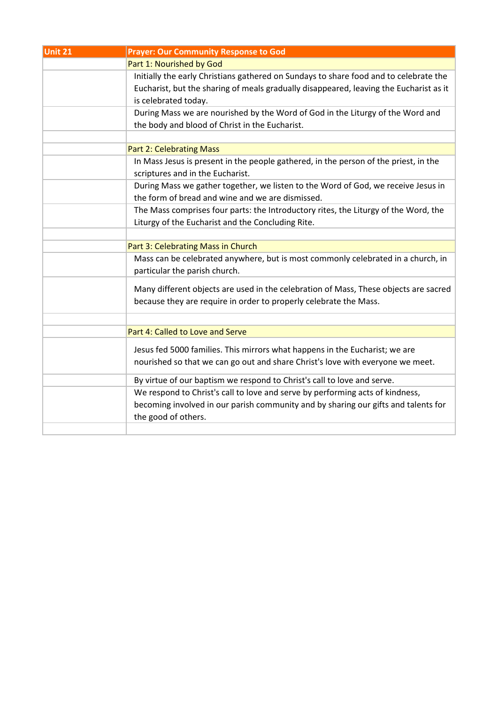| Part 1: Nourished by God<br>Initially the early Christians gathered on Sundays to share food and to celebrate the<br>Eucharist, but the sharing of meals gradually disappeared, leaving the Eucharist as it<br>is celebrated today.<br>During Mass we are nourished by the Word of God in the Liturgy of the Word and<br>the body and blood of Christ in the Eucharist.<br><b>Part 2: Celebrating Mass</b><br>In Mass Jesus is present in the people gathered, in the person of the priest, in the<br>scriptures and in the Eucharist.<br>During Mass we gather together, we listen to the Word of God, we receive Jesus in<br>the form of bread and wine and we are dismissed.<br>The Mass comprises four parts: the Introductory rites, the Liturgy of the Word, the<br>Liturgy of the Eucharist and the Concluding Rite.<br>Part 3: Celebrating Mass in Church<br>Mass can be celebrated anywhere, but is most commonly celebrated in a church, in<br>particular the parish church.<br>Many different objects are used in the celebration of Mass, These objects are sacred<br>because they are require in order to properly celebrate the Mass.<br>Part 4: Called to Love and Serve<br>Jesus fed 5000 families. This mirrors what happens in the Eucharist; we are<br>nourished so that we can go out and share Christ's love with everyone we meet.<br>By virtue of our baptism we respond to Christ's call to love and serve.<br>We respond to Christ's call to love and serve by performing acts of kindness,<br>becoming involved in our parish community and by sharing our gifts and talents for | Unit 21 | <b>Prayer: Our Community Response to God</b> |
|------------------------------------------------------------------------------------------------------------------------------------------------------------------------------------------------------------------------------------------------------------------------------------------------------------------------------------------------------------------------------------------------------------------------------------------------------------------------------------------------------------------------------------------------------------------------------------------------------------------------------------------------------------------------------------------------------------------------------------------------------------------------------------------------------------------------------------------------------------------------------------------------------------------------------------------------------------------------------------------------------------------------------------------------------------------------------------------------------------------------------------------------------------------------------------------------------------------------------------------------------------------------------------------------------------------------------------------------------------------------------------------------------------------------------------------------------------------------------------------------------------------------------------------------------------------------------------------------------------|---------|----------------------------------------------|
|                                                                                                                                                                                                                                                                                                                                                                                                                                                                                                                                                                                                                                                                                                                                                                                                                                                                                                                                                                                                                                                                                                                                                                                                                                                                                                                                                                                                                                                                                                                                                                                                            |         |                                              |
|                                                                                                                                                                                                                                                                                                                                                                                                                                                                                                                                                                                                                                                                                                                                                                                                                                                                                                                                                                                                                                                                                                                                                                                                                                                                                                                                                                                                                                                                                                                                                                                                            |         |                                              |
|                                                                                                                                                                                                                                                                                                                                                                                                                                                                                                                                                                                                                                                                                                                                                                                                                                                                                                                                                                                                                                                                                                                                                                                                                                                                                                                                                                                                                                                                                                                                                                                                            |         |                                              |
|                                                                                                                                                                                                                                                                                                                                                                                                                                                                                                                                                                                                                                                                                                                                                                                                                                                                                                                                                                                                                                                                                                                                                                                                                                                                                                                                                                                                                                                                                                                                                                                                            |         |                                              |
|                                                                                                                                                                                                                                                                                                                                                                                                                                                                                                                                                                                                                                                                                                                                                                                                                                                                                                                                                                                                                                                                                                                                                                                                                                                                                                                                                                                                                                                                                                                                                                                                            |         |                                              |
|                                                                                                                                                                                                                                                                                                                                                                                                                                                                                                                                                                                                                                                                                                                                                                                                                                                                                                                                                                                                                                                                                                                                                                                                                                                                                                                                                                                                                                                                                                                                                                                                            |         |                                              |
|                                                                                                                                                                                                                                                                                                                                                                                                                                                                                                                                                                                                                                                                                                                                                                                                                                                                                                                                                                                                                                                                                                                                                                                                                                                                                                                                                                                                                                                                                                                                                                                                            |         |                                              |
|                                                                                                                                                                                                                                                                                                                                                                                                                                                                                                                                                                                                                                                                                                                                                                                                                                                                                                                                                                                                                                                                                                                                                                                                                                                                                                                                                                                                                                                                                                                                                                                                            |         |                                              |
|                                                                                                                                                                                                                                                                                                                                                                                                                                                                                                                                                                                                                                                                                                                                                                                                                                                                                                                                                                                                                                                                                                                                                                                                                                                                                                                                                                                                                                                                                                                                                                                                            |         |                                              |
|                                                                                                                                                                                                                                                                                                                                                                                                                                                                                                                                                                                                                                                                                                                                                                                                                                                                                                                                                                                                                                                                                                                                                                                                                                                                                                                                                                                                                                                                                                                                                                                                            |         |                                              |
|                                                                                                                                                                                                                                                                                                                                                                                                                                                                                                                                                                                                                                                                                                                                                                                                                                                                                                                                                                                                                                                                                                                                                                                                                                                                                                                                                                                                                                                                                                                                                                                                            |         |                                              |
|                                                                                                                                                                                                                                                                                                                                                                                                                                                                                                                                                                                                                                                                                                                                                                                                                                                                                                                                                                                                                                                                                                                                                                                                                                                                                                                                                                                                                                                                                                                                                                                                            |         |                                              |
|                                                                                                                                                                                                                                                                                                                                                                                                                                                                                                                                                                                                                                                                                                                                                                                                                                                                                                                                                                                                                                                                                                                                                                                                                                                                                                                                                                                                                                                                                                                                                                                                            |         |                                              |
|                                                                                                                                                                                                                                                                                                                                                                                                                                                                                                                                                                                                                                                                                                                                                                                                                                                                                                                                                                                                                                                                                                                                                                                                                                                                                                                                                                                                                                                                                                                                                                                                            |         |                                              |
|                                                                                                                                                                                                                                                                                                                                                                                                                                                                                                                                                                                                                                                                                                                                                                                                                                                                                                                                                                                                                                                                                                                                                                                                                                                                                                                                                                                                                                                                                                                                                                                                            |         |                                              |
|                                                                                                                                                                                                                                                                                                                                                                                                                                                                                                                                                                                                                                                                                                                                                                                                                                                                                                                                                                                                                                                                                                                                                                                                                                                                                                                                                                                                                                                                                                                                                                                                            |         |                                              |
|                                                                                                                                                                                                                                                                                                                                                                                                                                                                                                                                                                                                                                                                                                                                                                                                                                                                                                                                                                                                                                                                                                                                                                                                                                                                                                                                                                                                                                                                                                                                                                                                            |         |                                              |
|                                                                                                                                                                                                                                                                                                                                                                                                                                                                                                                                                                                                                                                                                                                                                                                                                                                                                                                                                                                                                                                                                                                                                                                                                                                                                                                                                                                                                                                                                                                                                                                                            |         |                                              |
|                                                                                                                                                                                                                                                                                                                                                                                                                                                                                                                                                                                                                                                                                                                                                                                                                                                                                                                                                                                                                                                                                                                                                                                                                                                                                                                                                                                                                                                                                                                                                                                                            |         |                                              |
|                                                                                                                                                                                                                                                                                                                                                                                                                                                                                                                                                                                                                                                                                                                                                                                                                                                                                                                                                                                                                                                                                                                                                                                                                                                                                                                                                                                                                                                                                                                                                                                                            |         |                                              |
|                                                                                                                                                                                                                                                                                                                                                                                                                                                                                                                                                                                                                                                                                                                                                                                                                                                                                                                                                                                                                                                                                                                                                                                                                                                                                                                                                                                                                                                                                                                                                                                                            |         |                                              |
|                                                                                                                                                                                                                                                                                                                                                                                                                                                                                                                                                                                                                                                                                                                                                                                                                                                                                                                                                                                                                                                                                                                                                                                                                                                                                                                                                                                                                                                                                                                                                                                                            |         |                                              |
|                                                                                                                                                                                                                                                                                                                                                                                                                                                                                                                                                                                                                                                                                                                                                                                                                                                                                                                                                                                                                                                                                                                                                                                                                                                                                                                                                                                                                                                                                                                                                                                                            |         |                                              |
|                                                                                                                                                                                                                                                                                                                                                                                                                                                                                                                                                                                                                                                                                                                                                                                                                                                                                                                                                                                                                                                                                                                                                                                                                                                                                                                                                                                                                                                                                                                                                                                                            |         |                                              |
|                                                                                                                                                                                                                                                                                                                                                                                                                                                                                                                                                                                                                                                                                                                                                                                                                                                                                                                                                                                                                                                                                                                                                                                                                                                                                                                                                                                                                                                                                                                                                                                                            |         |                                              |
|                                                                                                                                                                                                                                                                                                                                                                                                                                                                                                                                                                                                                                                                                                                                                                                                                                                                                                                                                                                                                                                                                                                                                                                                                                                                                                                                                                                                                                                                                                                                                                                                            |         |                                              |
|                                                                                                                                                                                                                                                                                                                                                                                                                                                                                                                                                                                                                                                                                                                                                                                                                                                                                                                                                                                                                                                                                                                                                                                                                                                                                                                                                                                                                                                                                                                                                                                                            |         | the good of others.                          |
|                                                                                                                                                                                                                                                                                                                                                                                                                                                                                                                                                                                                                                                                                                                                                                                                                                                                                                                                                                                                                                                                                                                                                                                                                                                                                                                                                                                                                                                                                                                                                                                                            |         |                                              |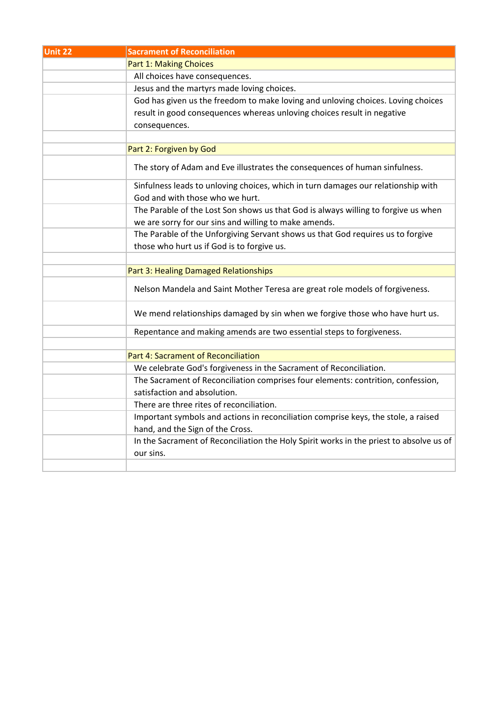| Unit 22 | <b>Sacrament of Reconciliation</b>                                                      |
|---------|-----------------------------------------------------------------------------------------|
|         | <b>Part 1: Making Choices</b>                                                           |
|         | All choices have consequences.                                                          |
|         | Jesus and the martyrs made loving choices.                                              |
|         | God has given us the freedom to make loving and unloving choices. Loving choices        |
|         | result in good consequences whereas unloving choices result in negative                 |
|         | consequences.                                                                           |
|         |                                                                                         |
|         | Part 2: Forgiven by God                                                                 |
|         | The story of Adam and Eve illustrates the consequences of human sinfulness.             |
|         | Sinfulness leads to unloving choices, which in turn damages our relationship with       |
|         | God and with those who we hurt.                                                         |
|         | The Parable of the Lost Son shows us that God is always willing to forgive us when      |
|         | we are sorry for our sins and willing to make amends.                                   |
|         | The Parable of the Unforgiving Servant shows us that God requires us to forgive         |
|         | those who hurt us if God is to forgive us.                                              |
|         |                                                                                         |
|         | Part 3: Healing Damaged Relationships                                                   |
|         | Nelson Mandela and Saint Mother Teresa are great role models of forgiveness.            |
|         | We mend relationships damaged by sin when we forgive those who have hurt us.            |
|         | Repentance and making amends are two essential steps to forgiveness.                    |
|         |                                                                                         |
|         | Part 4: Sacrament of Reconciliation                                                     |
|         | We celebrate God's forgiveness in the Sacrament of Reconciliation.                      |
|         | The Sacrament of Reconciliation comprises four elements: contrition, confession,        |
|         | satisfaction and absolution.                                                            |
|         | There are three rites of reconciliation.                                                |
|         | Important symbols and actions in reconciliation comprise keys, the stole, a raised      |
|         | hand, and the Sign of the Cross.                                                        |
|         | In the Sacrament of Reconciliation the Holy Spirit works in the priest to absolve us of |
|         | our sins.                                                                               |
|         |                                                                                         |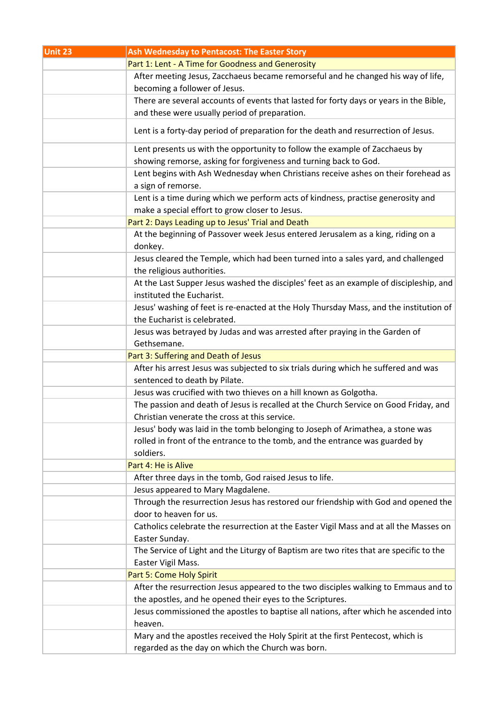| Unit 23 | Ash Wednesday to Pentacost: The Easter Story                                                                                                                                |
|---------|-----------------------------------------------------------------------------------------------------------------------------------------------------------------------------|
|         | Part 1: Lent - A Time for Goodness and Generosity                                                                                                                           |
|         | After meeting Jesus, Zacchaeus became remorseful and he changed his way of life,                                                                                            |
|         | becoming a follower of Jesus.                                                                                                                                               |
|         | There are several accounts of events that lasted for forty days or years in the Bible,                                                                                      |
|         | and these were usually period of preparation.                                                                                                                               |
|         | Lent is a forty-day period of preparation for the death and resurrection of Jesus.                                                                                          |
|         | Lent presents us with the opportunity to follow the example of Zacchaeus by<br>showing remorse, asking for forgiveness and turning back to God.                             |
|         | Lent begins with Ash Wednesday when Christians receive ashes on their forehead as                                                                                           |
|         | a sign of remorse.                                                                                                                                                          |
|         | Lent is a time during which we perform acts of kindness, practise generosity and                                                                                            |
|         | make a special effort to grow closer to Jesus.                                                                                                                              |
|         | Part 2: Days Leading up to Jesus' Trial and Death                                                                                                                           |
|         | At the beginning of Passover week Jesus entered Jerusalem as a king, riding on a<br>donkey.                                                                                 |
|         | Jesus cleared the Temple, which had been turned into a sales yard, and challenged<br>the religious authorities.                                                             |
|         | At the Last Supper Jesus washed the disciples' feet as an example of discipleship, and                                                                                      |
|         | instituted the Eucharist.                                                                                                                                                   |
|         | Jesus' washing of feet is re-enacted at the Holy Thursday Mass, and the institution of                                                                                      |
|         | the Eucharist is celebrated.                                                                                                                                                |
|         | Jesus was betrayed by Judas and was arrested after praying in the Garden of                                                                                                 |
|         | Gethsemane.                                                                                                                                                                 |
|         | Part 3: Suffering and Death of Jesus                                                                                                                                        |
|         | After his arrest Jesus was subjected to six trials during which he suffered and was                                                                                         |
|         | sentenced to death by Pilate.                                                                                                                                               |
|         | Jesus was crucified with two thieves on a hill known as Golgotha.                                                                                                           |
|         | The passion and death of Jesus is recalled at the Church Service on Good Friday, and                                                                                        |
|         | Christian venerate the cross at this service.                                                                                                                               |
|         | Jesus' body was laid in the tomb belonging to Joseph of Arimathea, a stone was<br>rolled in front of the entrance to the tomb, and the entrance was guarded by<br>soldiers. |
|         | Part 4: He is Alive                                                                                                                                                         |
|         | After three days in the tomb, God raised Jesus to life.                                                                                                                     |
|         | Jesus appeared to Mary Magdalene.                                                                                                                                           |
|         | Through the resurrection Jesus has restored our friendship with God and opened the                                                                                          |
|         | door to heaven for us.                                                                                                                                                      |
|         | Catholics celebrate the resurrection at the Easter Vigil Mass and at all the Masses on                                                                                      |
|         | Easter Sunday.                                                                                                                                                              |
|         | The Service of Light and the Liturgy of Baptism are two rites that are specific to the                                                                                      |
|         | Easter Vigil Mass.                                                                                                                                                          |
|         | Part 5: Come Holy Spirit                                                                                                                                                    |
|         | After the resurrection Jesus appeared to the two disciples walking to Emmaus and to                                                                                         |
|         | the apostles, and he opened their eyes to the Scriptures.                                                                                                                   |
|         | Jesus commissioned the apostles to baptise all nations, after which he ascended into                                                                                        |
|         | heaven.                                                                                                                                                                     |
|         | Mary and the apostles received the Holy Spirit at the first Pentecost, which is                                                                                             |
|         | regarded as the day on which the Church was born.                                                                                                                           |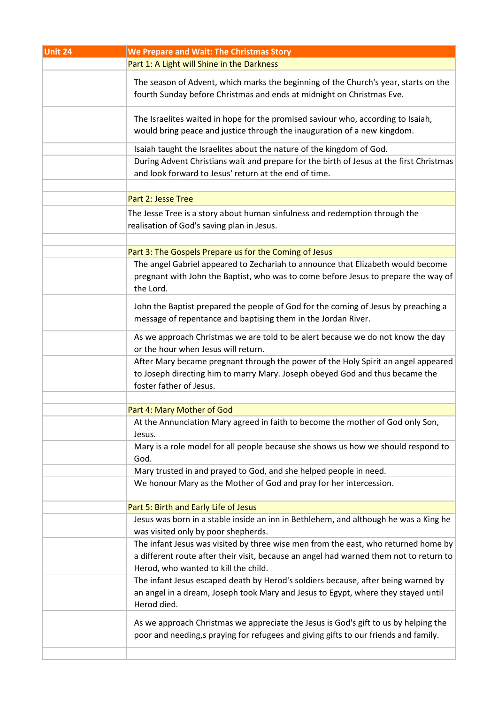| Unit 24 | We Prepare and Wait: The Christmas Story                                                                                                                                                                             |
|---------|----------------------------------------------------------------------------------------------------------------------------------------------------------------------------------------------------------------------|
|         | Part 1: A Light will Shine in the Darkness                                                                                                                                                                           |
|         | The season of Advent, which marks the beginning of the Church's year, starts on the<br>fourth Sunday before Christmas and ends at midnight on Christmas Eve.                                                         |
|         | The Israelites waited in hope for the promised saviour who, according to Isaiah,<br>would bring peace and justice through the inauguration of a new kingdom.                                                         |
|         | Isaiah taught the Israelites about the nature of the kingdom of God.                                                                                                                                                 |
|         | During Advent Christians wait and prepare for the birth of Jesus at the first Christmas<br>and look forward to Jesus' return at the end of time.                                                                     |
|         | Part 2: Jesse Tree                                                                                                                                                                                                   |
|         | The Jesse Tree is a story about human sinfulness and redemption through the<br>realisation of God's saving plan in Jesus.                                                                                            |
|         | Part 3: The Gospels Prepare us for the Coming of Jesus                                                                                                                                                               |
|         | The angel Gabriel appeared to Zechariah to announce that Elizabeth would become<br>pregnant with John the Baptist, who was to come before Jesus to prepare the way of<br>the Lord.                                   |
|         | John the Baptist prepared the people of God for the coming of Jesus by preaching a<br>message of repentance and baptising them in the Jordan River.                                                                  |
|         | As we approach Christmas we are told to be alert because we do not know the day<br>or the hour when Jesus will return.                                                                                               |
|         | After Mary became pregnant through the power of the Holy Spirit an angel appeared<br>to Joseph directing him to marry Mary. Joseph obeyed God and thus became the<br>foster father of Jesus.                         |
|         |                                                                                                                                                                                                                      |
|         | Part 4: Mary Mother of God                                                                                                                                                                                           |
|         | At the Annunciation Mary agreed in faith to become the mother of God only Son,<br>Jesus.                                                                                                                             |
|         | Mary is a role model for all people because she shows us how we should respond to<br>God.                                                                                                                            |
|         | Mary trusted in and prayed to God, and she helped people in need.                                                                                                                                                    |
|         | We honour Mary as the Mother of God and pray for her intercession.                                                                                                                                                   |
|         | Part 5: Birth and Early Life of Jesus                                                                                                                                                                                |
|         | Jesus was born in a stable inside an inn in Bethlehem, and although he was a King he<br>was visited only by poor shepherds.                                                                                          |
|         | The infant Jesus was visited by three wise men from the east, who returned home by<br>a different route after their visit, because an angel had warned them not to return to<br>Herod, who wanted to kill the child. |
|         | The infant Jesus escaped death by Herod's soldiers because, after being warned by<br>an angel in a dream, Joseph took Mary and Jesus to Egypt, where they stayed until<br>Herod died.                                |
|         | As we approach Christmas we appreciate the Jesus is God's gift to us by helping the<br>poor and needing,s praying for refugees and giving gifts to our friends and family.                                           |
|         |                                                                                                                                                                                                                      |